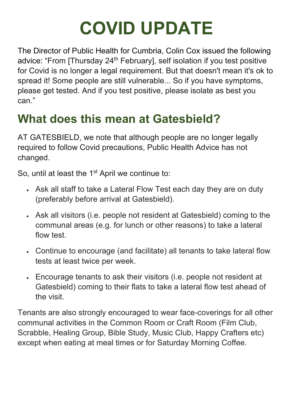## **COVID UPDATE**

The Director of Public Health for Cumbria, Colin Cox issued the following advice: "From [Thursday 24<sup>th</sup> February], self isolation if you test positive for Covid is no longer a legal requirement. But that doesn't mean it's ok to spread it! Some people are still vulnerable... So if you have symptoms, please get tested. And if you test positive, please isolate as best you can."

## **What does this mean at Gatesbield?**

AT GATESBIELD, we note that although people are no longer legally required to follow Covid precautions, Public Health Advice has not changed.

So, until at least the 1<sup>st</sup> April we continue to:

- Ask all staff to take a Lateral Flow Test each day they are on duty (preferably before arrival at Gatesbield).
- Ask all visitors (i.e. people not resident at Gatesbield) coming to the communal areas (e.g. for lunch or other reasons) to take a lateral flow test.
- Continue to encourage (and facilitate) all tenants to take lateral flow tests at least twice per week.
- Encourage tenants to ask their visitors (i.e. people not resident at Gatesbield) coming to their flats to take a lateral flow test ahead of the visit.

Tenants are also strongly encouraged to wear face-coverings for all other communal activities in the Common Room or Craft Room (Film Club, Scrabble, Healing Group, Bible Study, Music Club, Happy Crafters etc) except when eating at meal times or for Saturday Morning Coffee.